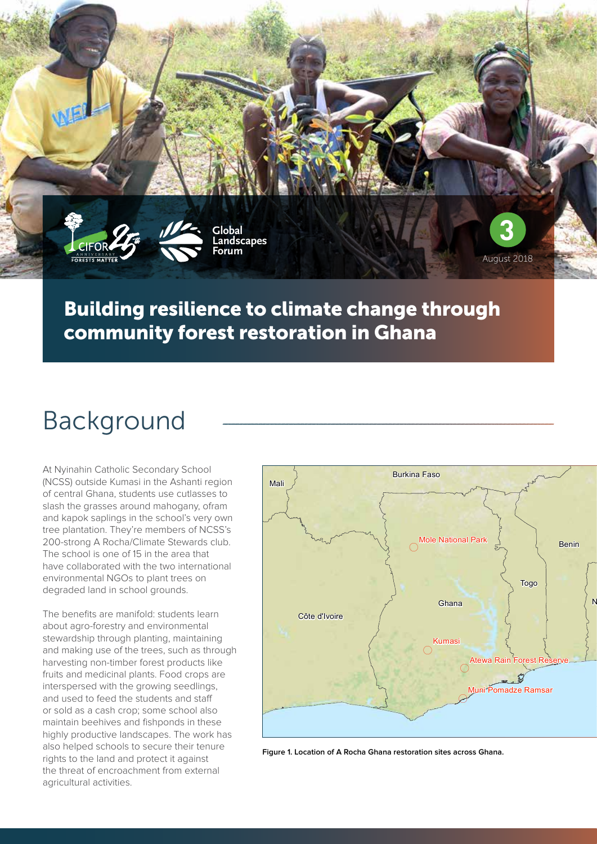

### Building resilience to climate change through community forest restoration in Ghana

# Background

At Nyinahin Catholic Secondary School (NCSS) outside Kumasi in the Ashanti region of central Ghana, students use cutlasses to slash the grasses around mahogany, ofram and kapok saplings in the school's very own tree plantation. They're members of NCSS's 200-strong A Rocha/Climate Stewards club. The school is one of 15 in the area that have collaborated with the two international environmental NGOs to plant trees on degraded land in school grounds.

The benefits are manifold: students learn about agro-forestry and environmental stewardship through planting, maintaining and making use of the trees, such as through harvesting non-timber forest products like fruits and medicinal plants. Food crops are interspersed with the growing seedlings, and used to feed the students and staff or sold as a cash crop; some school also maintain beehives and fishponds in these highly productive landscapes. The work has also helped schools to secure their tenure rights to the land and protect it against the threat of encroachment from external agricultural activities.



**Figure 1. Location of A Rocha Ghana restoration sites across Ghana.**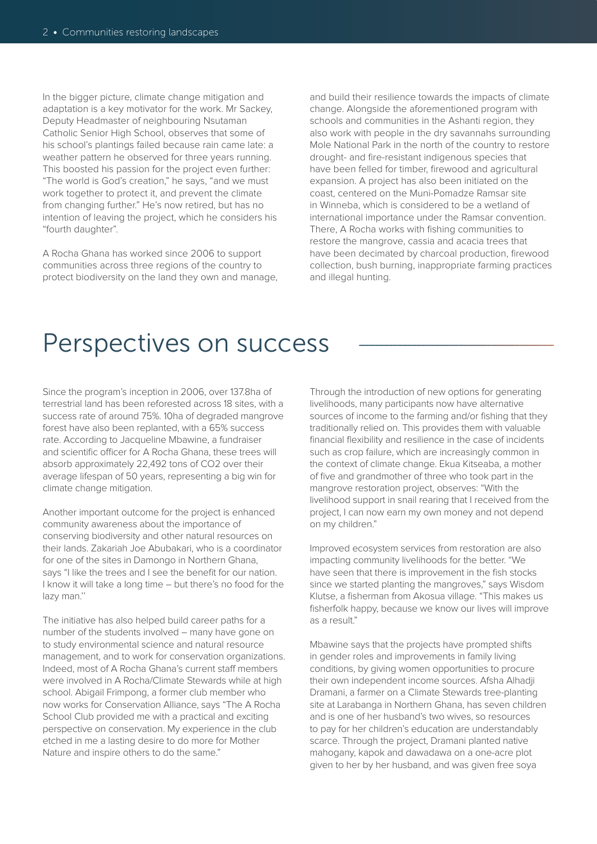In the bigger picture, climate change mitigation and adaptation is a key motivator for the work. Mr Sackey, Deputy Headmaster of neighbouring Nsutaman Catholic Senior High School, observes that some of his school's plantings failed because rain came late: a weather pattern he observed for three years running. This boosted his passion for the project even further: "The world is God's creation," he says, "and we must work together to protect it, and prevent the climate from changing further." He's now retired, but has no intention of leaving the project, which he considers his "fourth daughter".

A Rocha Ghana has worked since 2006 to support communities across three regions of the country to protect biodiversity on the land they own and manage, and build their resilience towards the impacts of climate change. Alongside the aforementioned program with schools and communities in the Ashanti region, they also work with people in the dry savannahs surrounding Mole National Park in the north of the country to restore drought- and fire-resistant indigenous species that have been felled for timber, firewood and agricultural expansion. A project has also been initiated on the coast, centered on the Muni-Pomadze Ramsar site in Winneba, which is considered to be a wetland of international importance under the Ramsar convention. There, A Rocha works with fishing communities to restore the mangrove, cassia and acacia trees that have been decimated by charcoal production, firewood collection, bush burning, inappropriate farming practices and illegal hunting.

## Perspectives on success

Since the program's inception in 2006, over 137.8ha of terrestrial land has been reforested across 18 sites, with a success rate of around 75%. 10ha of degraded mangrove forest have also been replanted, with a 65% success rate. According to Jacqueline Mbawine, a fundraiser and scientific officer for A Rocha Ghana, these trees will absorb approximately 22,492 tons of CO2 over their average lifespan of 50 years, representing a big win for climate change mitigation.

Another important outcome for the project is enhanced community awareness about the importance of conserving biodiversity and other natural resources on their lands. Zakariah Joe Abubakari, who is a coordinator for one of the sites in Damongo in Northern Ghana, says "I like the trees and I see the benefit for our nation. I know it will take a long time – but there's no food for the lazy man.''

The initiative has also helped build career paths for a number of the students involved – many have gone on to study environmental science and natural resource management, and to work for conservation organizations. Indeed, most of A Rocha Ghana's current staff members were involved in A Rocha/Climate Stewards while at high school. Abigail Frimpong, a former club member who now works for Conservation Alliance, says "The A Rocha School Club provided me with a practical and exciting perspective on conservation. My experience in the club etched in me a lasting desire to do more for Mother Nature and inspire others to do the same."

Through the introduction of new options for generating livelihoods, many participants now have alternative sources of income to the farming and/or fishing that they traditionally relied on. This provides them with valuable financial flexibility and resilience in the case of incidents such as crop failure, which are increasingly common in the context of climate change. Ekua Kitseaba, a mother of five and grandmother of three who took part in the mangrove restoration project, observes: "With the livelihood support in snail rearing that I received from the project, I can now earn my own money and not depend on my children."

Improved ecosystem services from restoration are also impacting community livelihoods for the better. "We have seen that there is improvement in the fish stocks since we started planting the mangroves," says Wisdom Klutse, a fisherman from Akosua village. "This makes us fisherfolk happy, because we know our lives will improve as a result."

Mbawine says that the projects have prompted shifts in gender roles and improvements in family living conditions, by giving women opportunities to procure their own independent income sources. Afsha Alhadji Dramani, a farmer on a Climate Stewards tree-planting site at Larabanga in Northern Ghana, has seven children and is one of her husband's two wives, so resources to pay for her children's education are understandably scarce. Through the project, Dramani planted native mahogany, kapok and dawadawa on a one-acre plot given to her by her husband, and was given free soya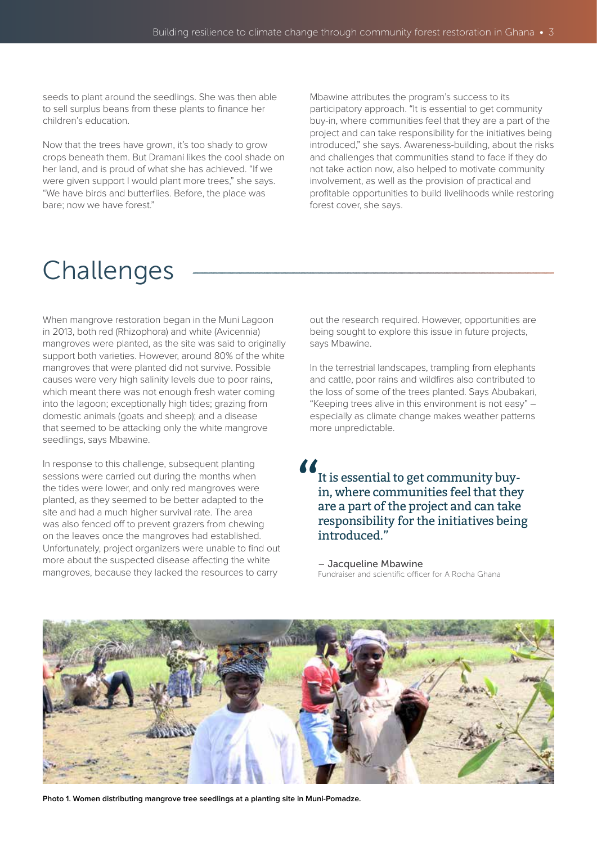seeds to plant around the seedlings. She was then able to sell surplus beans from these plants to finance her children's education.

Now that the trees have grown, it's too shady to grow crops beneath them. But Dramani likes the cool shade on her land, and is proud of what she has achieved. "If we were given support I would plant more trees," she says. "We have birds and butterflies. Before, the place was bare; now we have forest."

Mbawine attributes the program's success to its participatory approach. "It is essential to get community buy-in, where communities feel that they are a part of the project and can take responsibility for the initiatives being introduced," she says. Awareness-building, about the risks and challenges that communities stand to face if they do not take action now, also helped to motivate community involvement, as well as the provision of practical and profitable opportunities to build livelihoods while restoring forest cover, she says.

## Challenges

When mangrove restoration began in the Muni Lagoon in 2013, both red (Rhizophora) and white (Avicennia) mangroves were planted, as the site was said to originally support both varieties. However, around 80% of the white mangroves that were planted did not survive. Possible causes were very high salinity levels due to poor rains, which meant there was not enough fresh water coming into the lagoon; exceptionally high tides; grazing from domestic animals (goats and sheep); and a disease that seemed to be attacking only the white mangrove seedlings, says Mbawine.

In response to this challenge, subsequent planting sessions were carried out during the months when the tides were lower, and only red mangroves were planted, as they seemed to be better adapted to the site and had a much higher survival rate. The area was also fenced off to prevent grazers from chewing on the leaves once the mangroves had established. Unfortunately, project organizers were unable to find out more about the suspected disease affecting the white mangroves, because they lacked the resources to carry

out the research required. However, opportunities are being sought to explore this issue in future projects, says Mbawine.

In the terrestrial landscapes, trampling from elephants and cattle, poor rains and wildfires also contributed to the loss of some of the trees planted. Says Abubakari, "Keeping trees alive in this environment is not easy" – especially as climate change makes weather patterns more unpredictable.

It is essential to get community buyin, where communities feel that they are a part of the project and can take responsibility for the initiatives being introduced."  $\sum_{j}$ 

– Jacqueline Mbawine Fundraiser and scientific officer for A Rocha Ghana



**Photo 1. Women distributing mangrove tree seedlings at a planting site in Muni-Pomadze.**